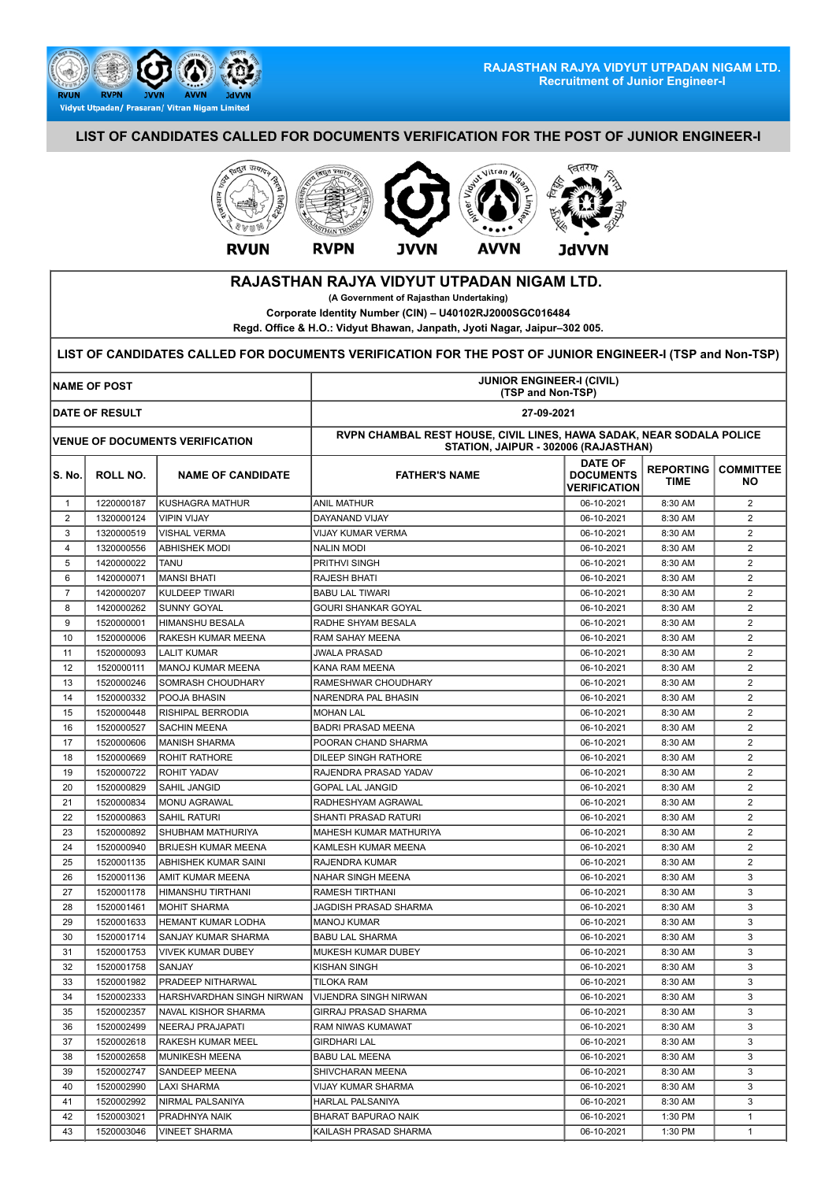

## **LIST OF CANDIDATES CALLED FOR DOCUMENTS VERIFICATION FOR THE POST OF JUNIOR ENGINEER-I**



## **RAJASTHAN RAJYA VIDYUT UTPADAN NIGAM LTD.**

**(A Government of Rajasthan Undertaking)**

**Corporate Identity Number (CIN) – U40102RJ2000SGC016484**

**Regd. Office & H.O.: Vidyut Bhawan, Janpath, Jyoti Nagar, Jaipur–302 005.**

## **LIST OF CANDIDATES CALLED FOR DOCUMENTS VERIFICATION FOR THE POST OF JUNIOR ENGINEER-I (TSP and Non-TSP)**

| <b>NAME OF POST</b> |                       |                                                   | <b>JUNIOR ENGINEER-I (CIVIL)</b><br>(TSP and Non-TSP)                                                        |                                                           |                                 |                         |  |
|---------------------|-----------------------|---------------------------------------------------|--------------------------------------------------------------------------------------------------------------|-----------------------------------------------------------|---------------------------------|-------------------------|--|
|                     | <b>DATE OF RESULT</b> |                                                   | 27-09-2021                                                                                                   |                                                           |                                 |                         |  |
|                     |                       | <b>VENUE OF DOCUMENTS VERIFICATION</b>            | RVPN CHAMBAL REST HOUSE, CIVIL LINES, HAWA SADAK, NEAR SODALA POLICE<br>STATION, JAIPUR - 302006 (RAJASTHAN) |                                                           |                                 |                         |  |
| SS. No.             | ROLL NO.              | <b>NAME OF CANDIDATE</b>                          | <b>FATHER'S NAME</b>                                                                                         | <b>DATE OF</b><br><b>DOCUMENTS</b><br><b>VERIFICATION</b> | <b>REPORTING</b><br><b>TIME</b> | <b>COMMITTEE</b><br>NO. |  |
| $\mathbf{1}$        | 1220000187            | KUSHAGRA MATHUR                                   | <b>ANIL MATHUR</b>                                                                                           | 06-10-2021                                                | 8:30 AM                         | $\overline{2}$          |  |
| 2                   | 1320000124            | <b>VIPIN VIJAY</b>                                | DAYANAND VIJAY                                                                                               | 06-10-2021                                                | 8:30 AM                         | $\overline{2}$          |  |
| 3                   | 1320000519            | <b>VISHAL VERMA</b>                               | <b>VIJAY KUMAR VERMA</b>                                                                                     | 06-10-2021                                                | 8:30 AM                         | 2                       |  |
| $\overline{4}$      | 1320000556            | <b>ABHISHEK MODI</b>                              | <b>NALIN MODI</b>                                                                                            | 06-10-2021                                                | 8:30 AM                         | 2                       |  |
| 5                   | 1420000022            | TANU                                              | PRITHVI SINGH                                                                                                | 06-10-2021                                                | 8:30 AM                         | $\overline{2}$          |  |
| 6                   | 1420000071            | <b>MANSI BHATI</b>                                | RAJESH BHATI                                                                                                 | 06-10-2021                                                | 8:30 AM                         | $\overline{\mathbf{c}}$ |  |
| $\overline{7}$      | 1420000207            | KULDEEP TIWARI                                    | <b>BABU LAL TIWARI</b>                                                                                       | 06-10-2021                                                | 8:30 AM                         | 2                       |  |
| 8                   | 1420000262            | <b>SUNNY GOYAL</b>                                | <b>GOURI SHANKAR GOYAL</b>                                                                                   | 06-10-2021                                                | 8:30 AM                         | $\overline{2}$          |  |
| 9                   | 1520000001            | HIMANSHU BESALA                                   | RADHE SHYAM BESALA                                                                                           | 06-10-2021                                                | 8:30 AM                         | $\overline{2}$          |  |
| 10                  | 1520000006            | RAKESH KUMAR MEENA                                | RAM SAHAY MEENA                                                                                              | 06-10-2021                                                | 8:30 AM                         | $\overline{2}$          |  |
| 11                  | 1520000093            | <b>LALIT KUMAR</b>                                | <b>JWALA PRASAD</b>                                                                                          | 06-10-2021                                                | 8:30 AM                         | 2                       |  |
| 12                  | 1520000111            | MANOJ KUMAR MEENA                                 | KANA RAM MEENA                                                                                               | 06-10-2021                                                | 8:30 AM                         | 2                       |  |
| 13                  | 1520000246            | SOMRASH CHOUDHARY                                 | RAMESHWAR CHOUDHARY                                                                                          | 06-10-2021                                                | 8:30 AM                         | 2                       |  |
| 14                  | 1520000332            | POOJA BHASIN                                      | NARENDRA PAL BHASIN                                                                                          | 06-10-2021                                                | 8:30 AM                         | $\overline{2}$          |  |
| 15                  | 1520000448            | RISHIPAL BERRODIA                                 | <b>MOHAN LAL</b>                                                                                             | 06-10-2021                                                | 8:30 AM                         | $\overline{2}$          |  |
| 16                  | 1520000527            | SACHIN MEENA                                      | <b>BADRI PRASAD MEENA</b>                                                                                    | 06-10-2021                                                | 8:30 AM                         | 2                       |  |
| 17                  | 1520000606            | IMANISH SHARMA                                    | POORAN CHAND SHARMA                                                                                          | 06-10-2021                                                | 8:30 AM                         | $\overline{2}$          |  |
| 18                  | 1520000669            | ROHIT RATHORE                                     | DILEEP SINGH RATHORE                                                                                         | 06-10-2021                                                | 8:30 AM                         | $\overline{2}$          |  |
| 19                  | 1520000722            | ROHIT YADAV                                       | RAJENDRA PRASAD YADAV                                                                                        | 06-10-2021                                                | 8:30 AM                         | $\overline{2}$          |  |
| 20                  | 1520000829            | SAHIL JANGID                                      | GOPAL LAL JANGID                                                                                             | 06-10-2021                                                | 8:30 AM                         | 2                       |  |
| 21                  | 1520000834            | MONU AGRAWAL                                      | RADHESHYAM AGRAWAL                                                                                           | 06-10-2021                                                | 8:30 AM                         | 2                       |  |
| 22                  | 1520000863            | SAHIL RATURI                                      | SHANTI PRASAD RATURI                                                                                         | 06-10-2021                                                | 8:30 AM                         | 2                       |  |
| 23                  | 1520000892            | SHUBHAM MATHURIYA                                 | MAHESH KUMAR MATHURIYA                                                                                       | 06-10-2021                                                | 8:30 AM                         | $\overline{2}$          |  |
| 24                  | 1520000940            | <b>BRIJESH KUMAR MEENA</b>                        | KAMLESH KUMAR MEENA                                                                                          | 06-10-2021                                                | 8:30 AM                         | $\overline{2}$          |  |
| 25                  | 1520001135            | ABHISHEK KUMAR SAINI                              | <b>RAJENDRA KUMAR</b>                                                                                        | 06-10-2021                                                | 8:30 AM                         | 2                       |  |
| 26                  | 1520001136            | AMIT KUMAR MEENA                                  | NAHAR SINGH MEENA                                                                                            | 06-10-2021                                                | 8:30 AM                         | 3                       |  |
| 27                  | 1520001178            | HIMANSHU TIRTHANI                                 | RAMESH TIRTHANI                                                                                              | 06-10-2021                                                | 8:30 AM                         | 3                       |  |
| 28                  | 1520001461            | MOHIT SHARMA                                      | JAGDISH PRASAD SHARMA                                                                                        | 06-10-2021                                                | 8:30 AM                         | 3                       |  |
| 29                  | 1520001633            | HEMANT KUMAR LODHA                                | <b>MANOJ KUMAR</b>                                                                                           | 06-10-2021                                                | 8:30 AM                         | 3                       |  |
| 30                  | 1520001714            | SANJAY KUMAR SHARMA                               | <b>BABU LAL SHARMA</b>                                                                                       | 06-10-2021                                                | 8:30 AM                         | 3                       |  |
| 31                  | 1520001753            | VIVEK KUMAR DUBEY                                 | MUKESH KUMAR DUBEY                                                                                           | 06-10-2021                                                | 8:30 AM                         | 3                       |  |
| 32                  | 1520001758            | <b>SANJAY</b>                                     | <b>KISHAN SINGH</b>                                                                                          | 06-10-2021                                                | 8:30 AM                         | 3                       |  |
| 33                  | 1520001982            | <b>PRADEEP NITHARWAL</b>                          | <b>TILOKA RAM</b>                                                                                            | 06-10-2021                                                | 8:30 AM                         | 3                       |  |
| 34                  | 1520002333            | HARSHVARDHAN SINGH NIRWAN   VIJENDRA SINGH NIRWAN |                                                                                                              | 06-10-2021                                                | 8:30 AM                         | 3                       |  |
| 35                  | 1520002357            | NAVAL KISHOR SHARMA                               | GIRRAJ PRASAD SHARMA                                                                                         | 06-10-2021                                                | 8:30 AM                         | 3                       |  |
| 36                  | 1520002499            | NEERAJ PRAJAPATI                                  | RAM NIWAS KUMAWAT                                                                                            | 06-10-2021                                                | 8:30 AM                         | 3                       |  |
| 37                  | 1520002618            | RAKESH KUMAR MEEL                                 | <b>GIRDHARI LAL</b>                                                                                          | 06-10-2021                                                | 8:30 AM                         | 3                       |  |
| 38                  | 1520002658            | MUNIKESH MEENA                                    | <b>BABU LAL MEENA</b>                                                                                        | 06-10-2021                                                | 8:30 AM                         | 3                       |  |
| 39                  | 1520002747            | SANDEEP MEENA                                     | SHIVCHARAN MEENA                                                                                             | 06-10-2021                                                | 8:30 AM                         | 3                       |  |
| 40                  | 1520002990            | LAXI SHARMA                                       | VIJAY KUMAR SHARMA                                                                                           | 06-10-2021                                                | 8:30 AM                         | 3                       |  |
| 41                  | 1520002992            | NIRMAL PALSANIYA                                  | HARLAL PALSANIYA                                                                                             | 06-10-2021                                                | 8:30 AM                         | 3                       |  |
| 42                  | 1520003021            | PRADHNYA NAIK                                     | BHARAT BAPURAO NAIK                                                                                          | 06-10-2021                                                | 1:30 PM                         | 1                       |  |
| 43                  | 1520003046            | <b>VINEET SHARMA</b>                              | KAILASH PRASAD SHARMA                                                                                        | 06-10-2021                                                | 1:30 PM                         | $\mathbf{1}$            |  |
|                     |                       |                                                   |                                                                                                              |                                                           |                                 |                         |  |